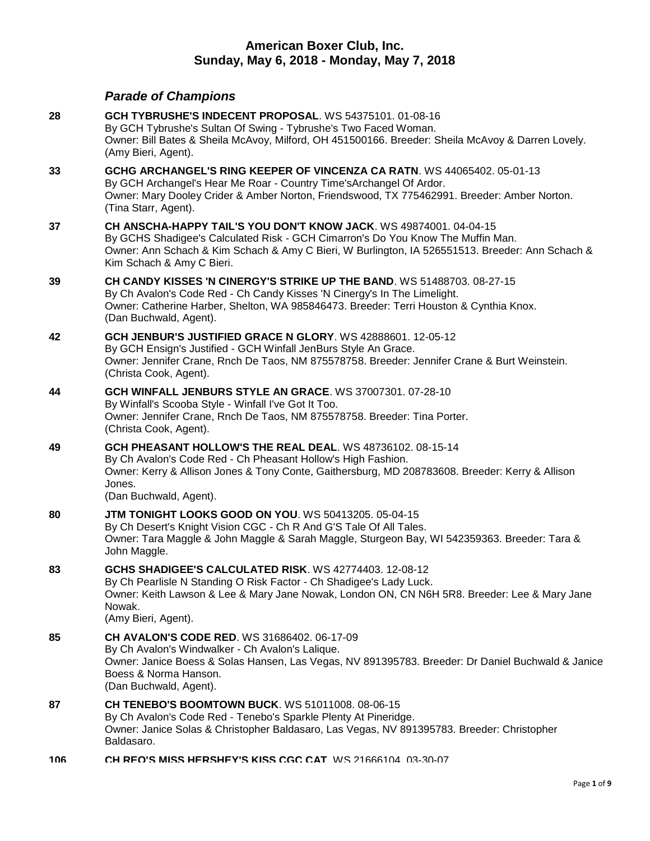# **American Boxer Club, Inc. Sunday, May 6, 2018 - Monday, May 7, 2018**

# *Parade of Champions*

| 28  | GCH TYBRUSHE'S INDECENT PROPOSAL. WS 54375101. 01-08-16<br>By GCH Tybrushe's Sultan Of Swing - Tybrushe's Two Faced Woman.<br>Owner: Bill Bates & Sheila McAvoy, Milford, OH 451500166. Breeder: Sheila McAvoy & Darren Lovely.<br>(Amy Bieri, Agent).                               |
|-----|--------------------------------------------------------------------------------------------------------------------------------------------------------------------------------------------------------------------------------------------------------------------------------------|
| 33  | GCHG ARCHANGEL'S RING KEEPER OF VINCENZA CA RATN. WS 44065402. 05-01-13<br>By GCH Archangel's Hear Me Roar - Country Time's Archangel Of Ardor.<br>Owner: Mary Dooley Crider & Amber Norton, Friendswood, TX 775462991. Breeder: Amber Norton.<br>(Tina Starr, Agent).               |
| 37  | CH ANSCHA-HAPPY TAIL'S YOU DON'T KNOW JACK. WS 49874001. 04-04-15<br>By GCHS Shadigee's Calculated Risk - GCH Cimarron's Do You Know The Muffin Man.<br>Owner: Ann Schach & Kim Schach & Amy C Bieri, W Burlington, IA 526551513. Breeder: Ann Schach &<br>Kim Schach & Amy C Bieri. |
| 39  | CH CANDY KISSES 'N CINERGY'S STRIKE UP THE BAND. WS 51488703. 08-27-15<br>By Ch Avalon's Code Red - Ch Candy Kisses 'N Cinergy's In The Limelight.<br>Owner: Catherine Harber, Shelton, WA 985846473. Breeder: Terri Houston & Cynthia Knox.<br>(Dan Buchwald, Agent).               |
| 42  | GCH JENBUR'S JUSTIFIED GRACE N GLORY. WS 42888601. 12-05-12<br>By GCH Ensign's Justified - GCH Winfall JenBurs Style An Grace.<br>Owner: Jennifer Crane, Rnch De Taos, NM 875578758. Breeder: Jennifer Crane & Burt Weinstein.<br>(Christa Cook, Agent).                             |
| 44  | GCH WINFALL JENBURS STYLE AN GRACE. WS 37007301. 07-28-10<br>By Winfall's Scooba Style - Winfall I've Got It Too.<br>Owner: Jennifer Crane, Rnch De Taos, NM 875578758. Breeder: Tina Porter.<br>(Christa Cook, Agent).                                                              |
| 49  | GCH PHEASANT HOLLOW'S THE REAL DEAL. WS 48736102. 08-15-14<br>By Ch Avalon's Code Red - Ch Pheasant Hollow's High Fashion.<br>Owner: Kerry & Allison Jones & Tony Conte, Gaithersburg, MD 208783608. Breeder: Kerry & Allison<br>Jones.<br>(Dan Buchwald, Agent).                    |
| 80  | <b>JTM TONIGHT LOOKS GOOD ON YOU. WS 50413205. 05-04-15</b><br>By Ch Desert's Knight Vision CGC - Ch R And G'S Tale Of All Tales.<br>Owner: Tara Maggle & John Maggle & Sarah Maggle, Sturgeon Bay, WI 542359363. Breeder: Tara &<br>John Maggle.                                    |
| 83  | GCHS SHADIGEE'S CALCULATED RISK. WS 42774403. 12-08-12<br>By Ch Pearlisle N Standing O Risk Factor - Ch Shadigee's Lady Luck.<br>Owner: Keith Lawson & Lee & Mary Jane Nowak, London ON, CN N6H 5R8. Breeder: Lee & Mary Jane<br>Nowak.<br>(Amy Bieri, Agent).                       |
| 85  | <b>CH AVALON'S CODE RED.</b> WS 31686402. 06-17-09<br>By Ch Avalon's Windwalker - Ch Avalon's Lalique.<br>Owner: Janice Boess & Solas Hansen, Las Vegas, NV 891395783. Breeder: Dr Daniel Buchwald & Janice<br>Boess & Norma Hanson.<br>(Dan Buchwald, Agent).                       |
| 87  | <b>CH TENEBO'S BOOMTOWN BUCK. WS 51011008. 08-06-15</b><br>By Ch Avalon's Code Red - Tenebo's Sparkle Plenty At Pineridge.<br>Owner: Janice Solas & Christopher Baldasaro, Las Vegas, NV 891395783. Breeder: Christopher<br>Baldasaro.                                               |
| 106 | CH REO'S MISS HERSHEY'S KISS CGC CAT WS 21666104 03-30-07                                                                                                                                                                                                                            |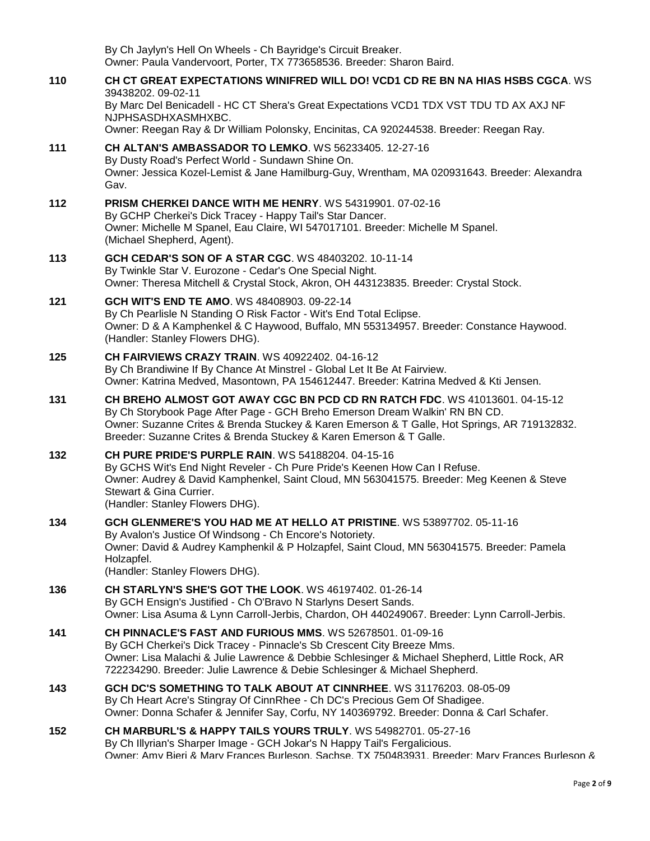By Ch Jaylyn's Hell On Wheels - Ch Bayridge's Circuit Breaker. Owner: Paula Vandervoort, Porter, TX 773658536. Breeder: Sharon Baird.

**110 [CH CT GREAT EXPECTATIONS WINIFRED WILL DO! VCD1 CD RE BN NA HIAS HSBS CGCA](http://infodog.com/my/drlookup2.htm?makc=WS%2039438202&mdog=Ch+CT+Great+Expectations+Winifred+Will+Do!+VCD1+CD+RE+BN+NA+HIAS+HSBS+CGCA&wins=all)**. WS 39438202. 09-02-11 By Marc Del Benicadell - HC CT Shera's Great Expectations VCD1 TDX VST TDU TD AX AXJ NF NJPHSASDHXASMHXBC. Owner: Reegan Ray & Dr William Polonsky, Encinitas, CA 920244538. Breeder: Reegan Ray. **111 [CH ALTAN'S AMBASSADOR TO LEMKO](http://infodog.com/my/drlookup2.htm?makc=WS%2056233405&mdog=Ch+Altan%27s+Ambassador+To+Lemko&wins=all)**. WS 56233405. 12-27-16 By Dusty Road's Perfect World - Sundawn Shine On. Owner: Jessica Kozel-Lemist & Jane Hamilburg-Guy, Wrentham, MA 020931643. Breeder: Alexandra Gav. **112 [PRISM CHERKEI DANCE WITH ME HENRY](http://infodog.com/my/drlookup2.htm?makc=WS%2054319901&mdog=Prism+Cherkei+Dance+With+Me+Henry&wins=all)**. WS 54319901. 07-02-16 By GCHP Cherkei's Dick Tracey - Happy Tail's Star Dancer. Owner: Michelle M Spanel, Eau Claire, WI 547017101. Breeder: Michelle M Spanel. (Michael Shepherd, Agent). **113 [GCH CEDAR'S SON OF A STAR CGC](http://infodog.com/my/drlookup2.htm?makc=WS%2048403202&mdog=GCH+Cedar%27s+Son+Of+A+Star+CGC&wins=all)**. WS 48403202. 10-11-14 By Twinkle Star V. Eurozone - Cedar's One Special Night. Owner: Theresa Mitchell & Crystal Stock, Akron, OH 443123835. Breeder: Crystal Stock. **121 [GCH WIT'S END TE AMO](http://infodog.com/my/drlookup2.htm?makc=WS%2048408903&mdog=GCH+Wit%27s+End+Te+Amo&wins=all)**. WS 48408903. 09-22-14 By Ch Pearlisle N Standing O Risk Factor - Wit's End Total Eclipse. Owner: D & A Kamphenkel & C Haywood, Buffalo, MN 553134957. Breeder: Constance Haywood. (Handler: Stanley Flowers DHG). **125 [CH FAIRVIEWS CRAZY TRAIN](http://infodog.com/my/drlookup2.htm?makc=WS%2040922402&mdog=Ch+Fairviews+Crazy+Train&wins=all)**. WS 40922402. 04-16-12 By Ch Brandiwine If By Chance At Minstrel - Global Let It Be At Fairview. Owner: Katrina Medved, Masontown, PA 154612447. Breeder: Katrina Medved & Kti Jensen. **131 [CH BREHO ALMOST GOT AWAY CGC BN PCD CD RN RATCH FDC](http://infodog.com/my/drlookup2.htm?makc=WS%2041013601&mdog=Ch+Breho+Almost+Got+Away+CGC+BN+PCD+CD+RN+RATCH+FDC&wins=all)**. WS 41013601. 04-15-12 By Ch Storybook Page After Page - GCH Breho Emerson Dream Walkin' RN BN CD. Owner: Suzanne Crites & Brenda Stuckey & Karen Emerson & T Galle, Hot Springs, AR 719132832. Breeder: Suzanne Crites & Brenda Stuckey & Karen Emerson & T Galle. **132 [CH PURE PRIDE'S PURPLE RAIN](http://infodog.com/my/drlookup2.htm?makc=WS%2054188204&mdog=Ch+Pure+Pride%27s+Purple+Rain&wins=all)**. WS 54188204. 04-15-16 By GCHS Wit's End Night Reveler - Ch Pure Pride's Keenen How Can I Refuse. Owner: Audrey & David Kamphenkel, Saint Cloud, MN 563041575. Breeder: Meg Keenen & Steve Stewart & Gina Currier. (Handler: Stanley Flowers DHG). **134 [GCH GLENMERE'S YOU HAD ME AT HELLO AT PRISTINE](http://infodog.com/my/drlookup2.htm?makc=WS%2053897702&mdog=GCH+Glenmere%27s+You+Had+Me+At+Hello+At+Pristine&wins=all)**. WS 53897702. 05-11-16 By Avalon's Justice Of Windsong - Ch Encore's Notoriety. Owner: David & Audrey Kamphenkil & P Holzapfel, Saint Cloud, MN 563041575. Breeder: Pamela Holzapfel. (Handler: Stanley Flowers DHG). **136 [CH STARLYN'S SHE'S GOT THE LOOK](http://infodog.com/my/drlookup2.htm?makc=WS%2046197402&mdog=Ch+Starlyn%27s+She%27s+Got+The+Look&wins=all)**. WS 46197402. 01-26-14 By GCH Ensign's Justified - Ch O'Bravo N Starlyns Desert Sands. Owner: Lisa Asuma & Lynn Carroll-Jerbis, Chardon, OH 440249067. Breeder: Lynn Carroll-Jerbis. **141 [CH PINNACLE'S FAST AND FURIOUS MMS](http://infodog.com/my/drlookup2.htm?makc=WS%2052678501&mdog=Ch+Pinnacle%27s+Fast+And+Furious+Mms&wins=all)**. WS 52678501. 01-09-16 By GCH Cherkei's Dick Tracey - Pinnacle's Sb Crescent City Breeze Mms. Owner: Lisa Malachi & Julie Lawrence & Debbie Schlesinger & Michael Shepherd, Little Rock, AR 722234290. Breeder: Julie Lawrence & Debie Schlesinger & Michael Shepherd. **143 [GCH DC'S SOMETHING TO TALK ABOUT AT CINNRHEE](http://infodog.com/my/drlookup2.htm?makc=WS%2031176203&mdog=GCH+DC%27s+Something+To+Talk+About+At+CinnRhee&wins=all)**. WS 31176203. 08-05-09 By Ch Heart Acre's Stingray Of CinnRhee - Ch DC's Precious Gem Of Shadigee. Owner: Donna Schafer & Jennifer Say, Corfu, NY 140369792. Breeder: Donna & Carl Schafer. **152 CH MARBURL'S [& HAPPY TAILS YOURS TRULY](http://infodog.com/my/drlookup2.htm?makc=WS%2054982701&mdog=Ch+Marburl%27s+&+Happy+Tails+Yours+Truly&wins=all)**. WS 54982701. 05-27-16 By Ch Illyrian's Sharper Image - GCH Jokar's N Happy Tail's Fergalicious. Owner: Amy Bieri & Mary Frances Burleson, Sachse, TX 750483931. Breeder: Mary Frances Burleson &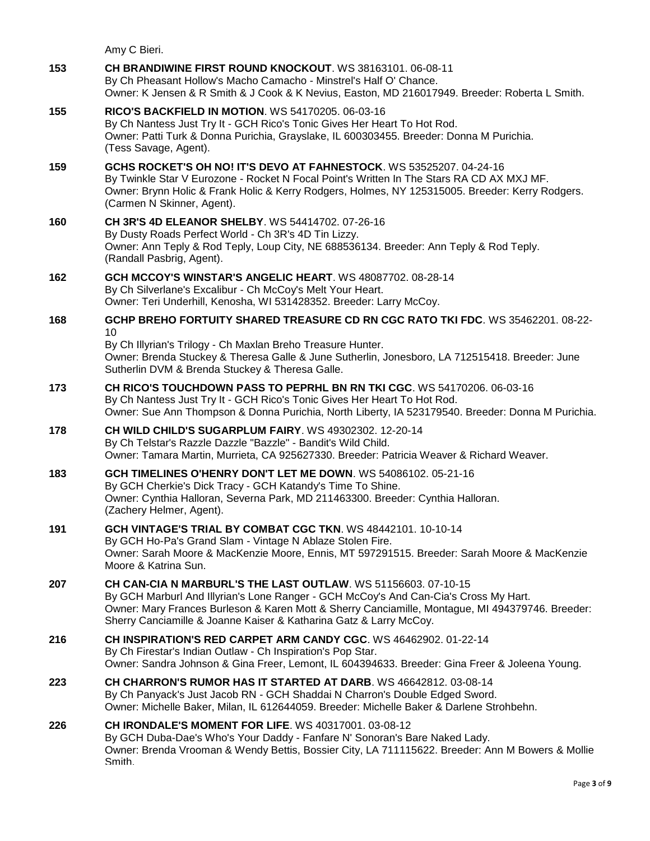Amy C Bieri.

**153 [CH BRANDIWINE FIRST ROUND KNOCKOUT](http://infodog.com/my/drlookup2.htm?makc=WS%2038163101&mdog=Ch+Brandiwine+First+Round+Knockout&wins=all)**. WS 38163101. 06-08-11 By Ch Pheasant Hollow's Macho Camacho - Minstrel's Half O' Chance. Owner: K Jensen & R Smith & J Cook & K Nevius, Easton, MD 216017949. Breeder: Roberta L Smith. **155 [RICO'S BACKFIELD IN MOTION](http://infodog.com/my/drlookup2.htm?makc=WS%2054170205&mdog=Rico%27s+Backfield+In+Motion&wins=all)**. WS 54170205. 06-03-16 By Ch Nantess Just Try It - GCH Rico's Tonic Gives Her Heart To Hot Rod. Owner: Patti Turk & Donna Purichia, Grayslake, IL 600303455. Breeder: Donna M Purichia. (Tess Savage, Agent). **159 [GCHS ROCKET'S OH NO! IT'S DEVO AT FAHNESTOCK](http://infodog.com/my/drlookup2.htm?makc=WS%2053525207&mdog=GCHS+Rocket%27s+Oh+No!+It%27s+Devo+At+Fahnestock&wins=all)**. WS 53525207. 04-24-16 By Twinkle Star V Eurozone - Rocket N Focal Point's Written In The Stars RA CD AX MXJ MF. Owner: Brynn Holic & Frank Holic & Kerry Rodgers, Holmes, NY 125315005. Breeder: Kerry Rodgers. (Carmen N Skinner, Agent). **160 [CH 3R'S 4D ELEANOR SHELBY](http://infodog.com/my/drlookup2.htm?makc=WS%2054414702&mdog=Ch+3R%27s+4D+Eleanor+Shelby&wins=all)**. WS 54414702. 07-26-16 By Dusty Roads Perfect World - Ch 3R's 4D Tin Lizzy. Owner: Ann Teply & Rod Teply, Loup City, NE 688536134. Breeder: Ann Teply & Rod Teply. (Randall Pasbrig, Agent). **162 [GCH MCCOY'S WINSTAR'S ANGELIC HEART](http://infodog.com/my/drlookup2.htm?makc=WS%2048087702&mdog=GCH+McCoy%27s+Winstar%27s+Angelic+Heart&wins=all)**. WS 48087702. 08-28-14 By Ch Silverlane's Excalibur - Ch McCoy's Melt Your Heart. Owner: Teri Underhill, Kenosha, WI 531428352. Breeder: Larry McCoy. **168 [GCHP BREHO FORTUITY SHARED TREASURE CD RN CGC RATO TKI FDC](http://infodog.com/my/drlookup2.htm?makc=WS%2035462201&mdog=GCHP+Breho+Fortuity+Shared+Treasure+CD+RN+CGC+RATO+TKI+FDC&wins=all)**. WS 35462201. 08-22- 10 By Ch Illyrian's Trilogy - Ch Maxlan Breho Treasure Hunter. Owner: Brenda Stuckey & Theresa Galle & June Sutherlin, Jonesboro, LA 712515418. Breeder: June Sutherlin DVM & Brenda Stuckey & Theresa Galle. **173 [CH RICO'S TOUCHDOWN PASS TO PEPRHL BN RN TKI CGC](http://infodog.com/my/drlookup2.htm?makc=WS%2054170206&mdog=Ch+Rico%27s+Touchdown+Pass+To+Peprhl+BN+RN+TKI+CGC&wins=all)**. WS 54170206. 06-03-16 By Ch Nantess Just Try It - GCH Rico's Tonic Gives Her Heart To Hot Rod. Owner: Sue Ann Thompson & Donna Purichia, North Liberty, IA 523179540. Breeder: Donna M Purichia. **178 [CH WILD CHILD'S SUGARPLUM FAIRY](http://infodog.com/my/drlookup2.htm?makc=WS%2049302302&mdog=Ch+Wild+Child%27s+Sugarplum+Fairy&wins=all)**. WS 49302302. 12-20-14 By Ch Telstar's Razzle Dazzle "Bazzle" - Bandit's Wild Child. Owner: Tamara Martin, Murrieta, CA 925627330. Breeder: Patricia Weaver & Richard Weaver. **183 [GCH TIMELINES O'HENRY DON'T LET ME DOWN](http://infodog.com/my/drlookup2.htm?makc=WS%2054086102&mdog=GCH+Timelines+O%27Henry+Don%27t+Let+Me+Down&wins=all)**. WS 54086102. 05-21-16 By GCH Cherkie's Dick Tracy - GCH Katandy's Time To Shine. Owner: Cynthia Halloran, Severna Park, MD 211463300. Breeder: Cynthia Halloran. (Zachery Helmer, Agent). **191 [GCH VINTAGE'S TRIAL BY COMBAT CGC TKN](http://infodog.com/my/drlookup2.htm?makc=WS%2048442101&mdog=GCH+Vintage%27s+Trial+By+Combat+CGC+TKN&wins=all)**. WS 48442101. 10-10-14 By GCH Ho-Pa's Grand Slam - Vintage N Ablaze Stolen Fire. Owner: Sarah Moore & MacKenzie Moore, Ennis, MT 597291515. Breeder: Sarah Moore & MacKenzie Moore & Katrina Sun. **207 [CH CAN-CIA N MARBURL'S THE LAST OUTLAW](http://infodog.com/my/drlookup2.htm?makc=WS%2051156603&mdog=Ch+Can-Cia+N+Marburl%27s+The+Last+Outlaw&wins=all)**. WS 51156603. 07-10-15 By GCH Marburl And Illyrian's Lone Ranger - GCH McCoy's And Can-Cia's Cross My Hart. Owner: Mary Frances Burleson & Karen Mott & Sherry Canciamille, Montague, MI 494379746. Breeder: Sherry Canciamille & Joanne Kaiser & Katharina Gatz & Larry McCoy. **216 [CH INSPIRATION'S RED CARPET ARM CANDY CGC](http://infodog.com/my/drlookup2.htm?makc=WS%2046462902&mdog=Ch+Inspiration%27s+Red+Carpet+Arm+Candy+CGC&wins=all)**. WS 46462902. 01-22-14 By Ch Firestar's Indian Outlaw - Ch Inspiration's Pop Star. Owner: Sandra Johnson & Gina Freer, Lemont, IL 604394633. Breeder: Gina Freer & Joleena Young. **223 [CH CHARRON'S RUMOR HAS IT STARTED AT DARB](http://infodog.com/my/drlookup2.htm?makc=WS%2046642812&mdog=Ch+Charron%27s+Rumor+Has+It+Started+At+Darb&wins=all)**. WS 46642812. 03-08-14 By Ch Panyack's Just Jacob RN - GCH Shaddai N Charron's Double Edged Sword. Owner: Michelle Baker, Milan, IL 612644059. Breeder: Michelle Baker & Darlene Strohbehn. **226 [CH IRONDALE'S MOMENT FOR LIFE](http://infodog.com/my/drlookup2.htm?makc=WS%2040317001&mdog=Ch+Irondale%27s+Moment+For+Life&wins=all)**. WS 40317001. 03-08-12 By GCH Duba-Dae's Who's Your Daddy - Fanfare N' Sonoran's Bare Naked Lady. Owner: Brenda Vrooman & Wendy Bettis, Bossier City, LA 711115622. Breeder: Ann M Bowers & Mollie Smith.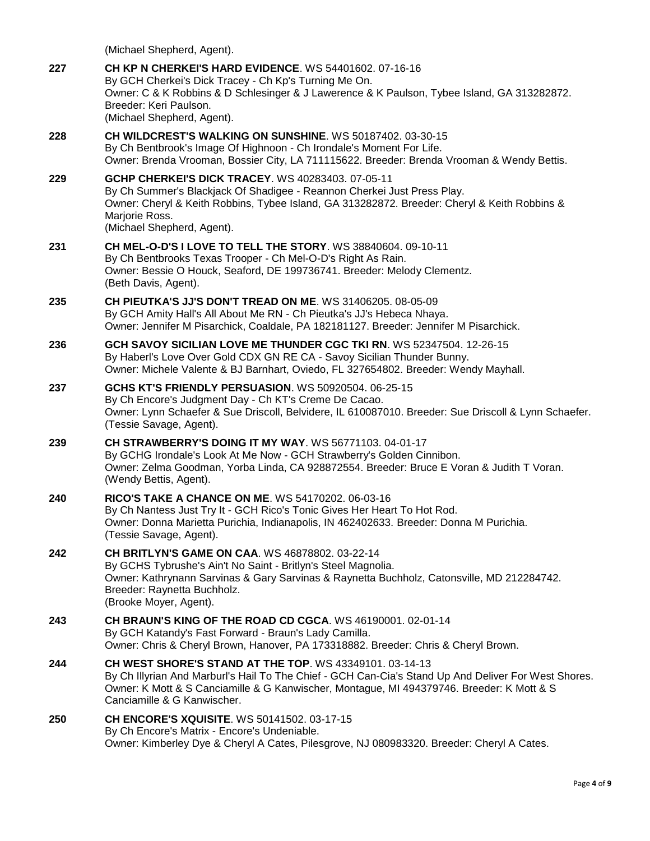|     | (Michael Shepherd, Agent).                                                                                                                                                                                                                                                                         |
|-----|----------------------------------------------------------------------------------------------------------------------------------------------------------------------------------------------------------------------------------------------------------------------------------------------------|
| 227 | CH KP N CHERKEI'S HARD EVIDENCE. WS 54401602. 07-16-16<br>By GCH Cherkei's Dick Tracey - Ch Kp's Turning Me On.<br>Owner: C & K Robbins & D Schlesinger & J Lawerence & K Paulson, Tybee Island, GA 313282872.<br>Breeder: Keri Paulson.<br>(Michael Shepherd, Agent).                             |
| 228 | CH WILDCREST'S WALKING ON SUNSHINE. WS 50187402. 03-30-15<br>By Ch Bentbrook's Image Of Highnoon - Ch Irondale's Moment For Life.<br>Owner: Brenda Vrooman, Bossier City, LA 711115622. Breeder: Brenda Vrooman & Wendy Bettis.                                                                    |
| 229 | <b>GCHP CHERKEI'S DICK TRACEY. WS 40283403. 07-05-11</b><br>By Ch Summer's Blackjack Of Shadigee - Reannon Cherkei Just Press Play.<br>Owner: Cheryl & Keith Robbins, Tybee Island, GA 313282872. Breeder: Cheryl & Keith Robbins &<br>Marjorie Ross.<br>(Michael Shepherd, Agent).                |
| 231 | CH MEL-O-D'S I LOVE TO TELL THE STORY. WS 38840604. 09-10-11<br>By Ch Bentbrooks Texas Trooper - Ch Mel-O-D's Right As Rain.<br>Owner: Bessie O Houck, Seaford, DE 199736741. Breeder: Melody Clementz.<br>(Beth Davis, Agent).                                                                    |
| 235 | <b>CH PIEUTKA'S JJ'S DON'T TREAD ON ME. WS 31406205, 08-05-09</b><br>By GCH Amity Hall's All About Me RN - Ch Pieutka's JJ's Hebeca Nhaya.<br>Owner: Jennifer M Pisarchick, Coaldale, PA 182181127. Breeder: Jennifer M Pisarchick.                                                                |
| 236 | GCH SAVOY SICILIAN LOVE ME THUNDER CGC TKI RN. WS 52347504. 12-26-15<br>By Haberl's Love Over Gold CDX GN RE CA - Savoy Sicilian Thunder Bunny.<br>Owner: Michele Valente & BJ Barnhart, Oviedo, FL 327654802. Breeder: Wendy Mayhall.                                                             |
| 237 | GCHS KT'S FRIENDLY PERSUASION. WS 50920504. 06-25-15<br>By Ch Encore's Judgment Day - Ch KT's Creme De Cacao.<br>Owner: Lynn Schaefer & Sue Driscoll, Belvidere, IL 610087010. Breeder: Sue Driscoll & Lynn Schaefer.<br>(Tessie Savage, Agent).                                                   |
| 239 | <b>CH STRAWBERRY'S DOING IT MY WAY. WS 56771103. 04-01-17</b><br>By GCHG Irondale's Look At Me Now - GCH Strawberry's Golden Cinnibon.<br>Owner: Zelma Goodman, Yorba Linda, CA 928872554. Breeder: Bruce E Voran & Judith T Voran.<br>(Wendy Bettis, Agent).                                      |
| 240 | RICO'S TAKE A CHANCE ON ME. WS 54170202. 06-03-16<br>By Ch Nantess Just Try It - GCH Rico's Tonic Gives Her Heart To Hot Rod.<br>Owner: Donna Marietta Purichia, Indianapolis, IN 462402633. Breeder: Donna M Purichia.<br>(Tessie Savage, Agent).                                                 |
| 242 | <b>CH BRITLYN'S GAME ON CAA. WS 46878802. 03-22-14</b><br>By GCHS Tybrushe's Ain't No Saint - Britlyn's Steel Magnolia.<br>Owner: Kathrynann Sarvinas & Gary Sarvinas & Raynetta Buchholz, Catonsville, MD 212284742.<br>Breeder: Raynetta Buchholz.<br>(Brooke Moyer, Agent).                     |
| 243 | <b>CH BRAUN'S KING OF THE ROAD CD CGCA. WS 46190001, 02-01-14</b><br>By GCH Katandy's Fast Forward - Braun's Lady Camilla.<br>Owner: Chris & Cheryl Brown, Hanover, PA 173318882. Breeder: Chris & Cheryl Brown.                                                                                   |
| 244 | <b>CH WEST SHORE'S STAND AT THE TOP. WS 43349101. 03-14-13</b><br>By Ch Illyrian And Marburl's Hail To The Chief - GCH Can-Cia's Stand Up And Deliver For West Shores.<br>Owner: K Mott & S Canciamille & G Kanwischer, Montague, MI 494379746. Breeder: K Mott & S<br>Canciamille & G Kanwischer. |
| 250 | <b>CH ENCORE'S XQUISITE. WS 50141502. 03-17-15</b><br>By Ch Encore's Matrix - Encore's Undeniable.<br>Owner: Kimberley Dye & Cheryl A Cates, Pilesgrove, NJ 080983320. Breeder: Cheryl A Cates.                                                                                                    |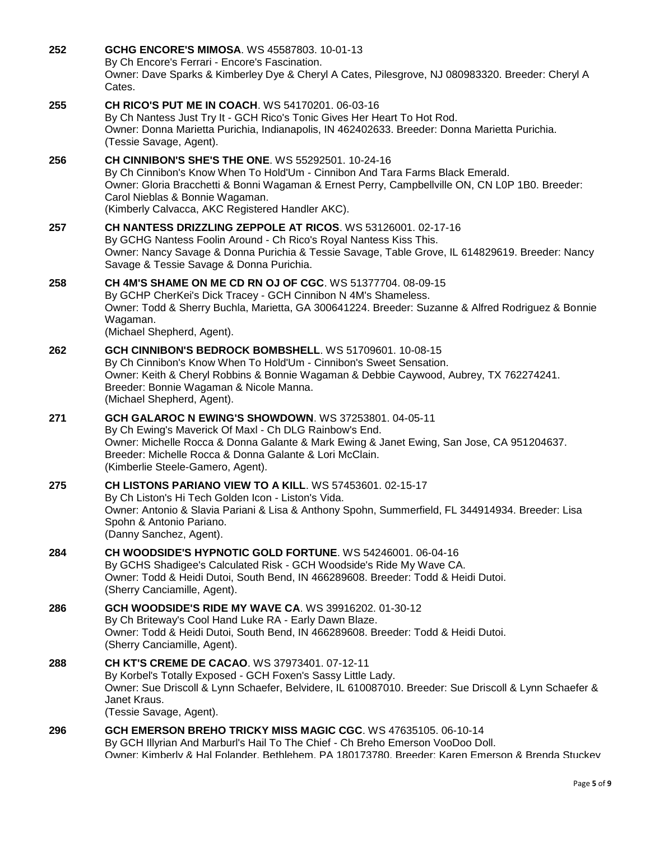| 252 | <b>GCHG ENCORE'S MIMOSA. WS 45587803. 10-01-13</b><br>By Ch Encore's Ferrari - Encore's Fascination.<br>Owner: Dave Sparks & Kimberley Dye & Cheryl A Cates, Pilesgrove, NJ 080983320. Breeder: Cheryl A<br>Cates.                                                                                                                    |
|-----|---------------------------------------------------------------------------------------------------------------------------------------------------------------------------------------------------------------------------------------------------------------------------------------------------------------------------------------|
| 255 | CH RICO'S PUT ME IN COACH. WS 54170201. 06-03-16<br>By Ch Nantess Just Try It - GCH Rico's Tonic Gives Her Heart To Hot Rod.<br>Owner: Donna Marietta Purichia, Indianapolis, IN 462402633. Breeder: Donna Marietta Purichia.<br>(Tessie Savage, Agent).                                                                              |
| 256 | <b>CH CINNIBON'S SHE'S THE ONE. WS 55292501. 10-24-16</b><br>By Ch Cinnibon's Know When To Hold'Um - Cinnibon And Tara Farms Black Emerald.<br>Owner: Gloria Bracchetti & Bonni Wagaman & Ernest Perry, Campbellville ON, CN L0P 1B0. Breeder:<br>Carol Nieblas & Bonnie Wagaman.<br>(Kimberly Calvacca, AKC Registered Handler AKC). |
| 257 | <b>CH NANTESS DRIZZLING ZEPPOLE AT RICOS.</b> WS 53126001. 02-17-16<br>By GCHG Nantess Foolin Around - Ch Rico's Royal Nantess Kiss This.<br>Owner: Nancy Savage & Donna Purichia & Tessie Savage, Table Grove, IL 614829619. Breeder: Nancy<br>Savage & Tessie Savage & Donna Purichia.                                              |
| 258 | CH 4M'S SHAME ON ME CD RN OJ OF CGC. WS 51377704. 08-09-15<br>By GCHP CherKei's Dick Tracey - GCH Cinnibon N 4M's Shameless.<br>Owner: Todd & Sherry Buchla, Marietta, GA 300641224. Breeder: Suzanne & Alfred Rodriguez & Bonnie<br>Wagaman.<br>(Michael Shepherd, Agent).                                                           |
| 262 | GCH CINNIBON'S BEDROCK BOMBSHELL. WS 51709601, 10-08-15<br>By Ch Cinnibon's Know When To Hold'Um - Cinnibon's Sweet Sensation.<br>Owner: Keith & Cheryl Robbins & Bonnie Wagaman & Debbie Caywood, Aubrey, TX 762274241.<br>Breeder: Bonnie Wagaman & Nicole Manna.<br>(Michael Shepherd, Agent).                                     |
| 271 | <b>GCH GALAROC N EWING'S SHOWDOWN. WS 37253801. 04-05-11</b><br>By Ch Ewing's Maverick Of Maxl - Ch DLG Rainbow's End.<br>Owner: Michelle Rocca & Donna Galante & Mark Ewing & Janet Ewing, San Jose, CA 951204637.<br>Breeder: Michelle Rocca & Donna Galante & Lori McClain.<br>(Kimberlie Steele-Gamero, Agent).                   |
| 275 | CH LISTONS PARIANO VIEW TO A KILL. WS 57453601. 02-15-17<br>By Ch Liston's Hi Tech Golden Icon - Liston's Vida.<br>Owner: Antonio & Slavia Pariani & Lisa & Anthony Spohn, Summerfield, FL 344914934. Breeder: Lisa<br>Spohn & Antonio Pariano.<br>(Danny Sanchez, Agent).                                                            |
| 284 | CH WOODSIDE'S HYPNOTIC GOLD FORTUNE. WS 54246001. 06-04-16<br>By GCHS Shadigee's Calculated Risk - GCH Woodside's Ride My Wave CA.<br>Owner: Todd & Heidi Dutoi, South Bend, IN 466289608. Breeder: Todd & Heidi Dutoi.<br>(Sherry Canciamille, Agent).                                                                               |
| 286 | <b>GCH WOODSIDE'S RIDE MY WAVE CA. WS 39916202, 01-30-12</b><br>By Ch Briteway's Cool Hand Luke RA - Early Dawn Blaze.<br>Owner: Todd & Heidi Dutoi, South Bend, IN 466289608. Breeder: Todd & Heidi Dutoi.<br>(Sherry Canciamille, Agent).                                                                                           |
| 288 | <b>CH KT'S CREME DE CACAO.</b> WS 37973401. 07-12-11<br>By Korbel's Totally Exposed - GCH Foxen's Sassy Little Lady.<br>Owner: Sue Driscoll & Lynn Schaefer, Belvidere, IL 610087010. Breeder: Sue Driscoll & Lynn Schaefer &<br>Janet Kraus.<br>(Tessie Savage, Agent).                                                              |
| 296 | GCH EMERSON BREHO TRICKY MISS MAGIC CGC. WS 47635105. 06-10-14<br>By GCH Illyrian And Marburl's Hail To The Chief - Ch Breho Emerson VooDoo Doll.<br>Owner: Kimberly & Hal Folander, Bethlehem, PA 180173780, Breeder: Karen Emerson & Brenda Stuckev                                                                                 |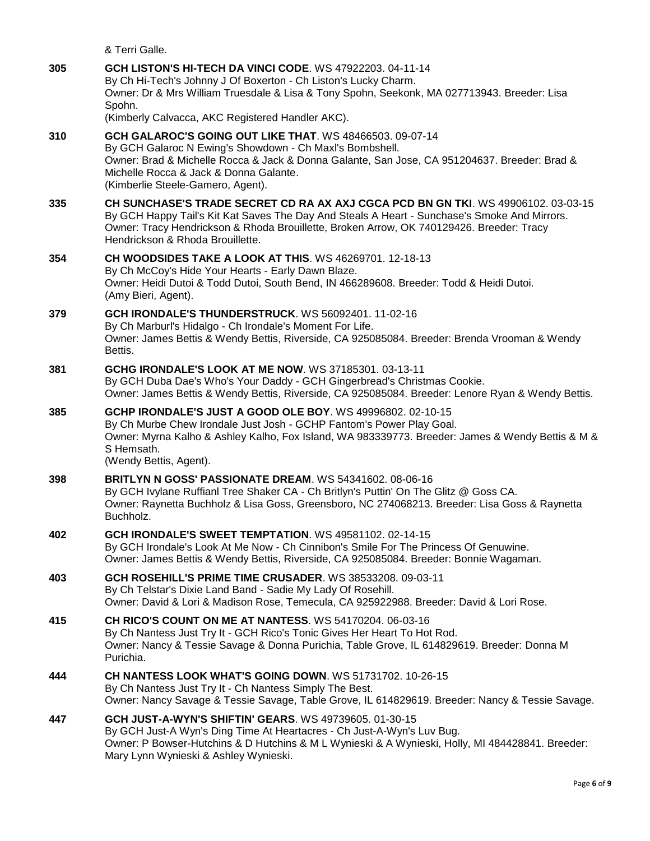& Terri Galle.

**305 [GCH LISTON'S HI-TECH DA VINCI CODE](http://infodog.com/my/drlookup2.htm?makc=WS%2047922203&mdog=GCH+Liston%27s+Hi-Tech+Da+Vinci+Code&wins=all)**. WS 47922203. 04-11-14 By Ch Hi-Tech's Johnny J Of Boxerton - Ch Liston's Lucky Charm. Owner: Dr & Mrs William Truesdale & Lisa & Tony Spohn, Seekonk, MA 027713943. Breeder: Lisa Spohn. (Kimberly Calvacca, AKC Registered Handler AKC). **310 [GCH GALAROC'S GOING OUT LIKE THAT](http://infodog.com/my/drlookup2.htm?makc=WS%2048466503&mdog=GCH+Galaroc%27s+Going+Out+Like+That&wins=all)**. WS 48466503. 09-07-14 By GCH Galaroc N Ewing's Showdown - Ch Maxl's Bombshell. Owner: Brad & Michelle Rocca & Jack & Donna Galante, San Jose, CA 951204637. Breeder: Brad & Michelle Rocca & Jack & Donna Galante. (Kimberlie Steele-Gamero, Agent). **335 [CH SUNCHASE'S TRADE SECRET CD RA AX AXJ CGCA PCD BN GN TKI](http://infodog.com/my/drlookup2.htm?makc=WS%2049906102&mdog=Ch+Sunchase%27s+Trade+Secret+CD+RA+AX+AXJ+CGCA+PCD+BN+GN+TKI&wins=all)**. WS 49906102. 03-03-15 By GCH Happy Tail's Kit Kat Saves The Day And Steals A Heart - Sunchase's Smoke And Mirrors. Owner: Tracy Hendrickson & Rhoda Brouillette, Broken Arrow, OK 740129426. Breeder: Tracy Hendrickson & Rhoda Brouillette. **354 [CH WOODSIDES TAKE A LOOK AT THIS](http://infodog.com/my/drlookup2.htm?makc=WS%2046269701&mdog=Ch+Woodsides+Take+A+Look+At+This&wins=all)**. WS 46269701. 12-18-13 By Ch McCoy's Hide Your Hearts - Early Dawn Blaze. Owner: Heidi Dutoi & Todd Dutoi, South Bend, IN 466289608. Breeder: Todd & Heidi Dutoi. (Amy Bieri, Agent). **379 [GCH IRONDALE'S THUNDERSTRUCK](http://infodog.com/my/drlookup2.htm?makc=WS%2056092401&mdog=GCH+Irondale%27s+Thunderstruck&wins=all)**. WS 56092401. 11-02-16 By Ch Marburl's Hidalgo - Ch Irondale's Moment For Life. Owner: James Bettis & Wendy Bettis, Riverside, CA 925085084. Breeder: Brenda Vrooman & Wendy Bettis. **381 [GCHG IRONDALE'S LOOK AT ME NOW](http://infodog.com/my/drlookup2.htm?makc=WS%2037185301&mdog=GCHG+Irondale%27s+Look+At+Me+Now&wins=all)**. WS 37185301. 03-13-11 By GCH Duba Dae's Who's Your Daddy - GCH Gingerbread's Christmas Cookie. Owner: James Bettis & Wendy Bettis, Riverside, CA 925085084. Breeder: Lenore Ryan & Wendy Bettis. **385 [GCHP IRONDALE'S JUST A GOOD OLE BOY](http://infodog.com/my/drlookup2.htm?makc=WS%2049996802&mdog=GCHP+Irondale%27s+Just+A+Good+Ole+Boy&wins=all)**. WS 49996802. 02-10-15 By Ch Murbe Chew Irondale Just Josh - GCHP Fantom's Power Play Goal. Owner: Myrna Kalho & Ashley Kalho, Fox Island, WA 983339773. Breeder: James & Wendy Bettis & M & S Hemsath. (Wendy Bettis, Agent). **398 [BRITLYN N GOSS' PASSIONATE DREAM](http://infodog.com/my/drlookup2.htm?makc=WS%2054341602&mdog=Britlyn+N+Goss%27+Passionate+Dream&wins=all)**. WS 54341602. 08-06-16 By GCH Ivylane Ruffianl Tree Shaker CA - Ch Britlyn's Puttin' On The Glitz @ Goss CA. Owner: Raynetta Buchholz & Lisa Goss, Greensboro, NC 274068213. Breeder: Lisa Goss & Raynetta Buchholz. **402 [GCH IRONDALE'S SWEET TEMPTATION](http://infodog.com/my/drlookup2.htm?makc=WS%2049581102&mdog=GCH+Irondale%27s+Sweet+Temptation&wins=all)**. WS 49581102. 02-14-15 By GCH Irondale's Look At Me Now - Ch Cinnibon's Smile For The Princess Of Genuwine. Owner: James Bettis & Wendy Bettis, Riverside, CA 925085084. Breeder: Bonnie Wagaman. **403 [GCH ROSEHILL'S PRIME TIME CRUSADER](http://infodog.com/my/drlookup2.htm?makc=WS%2038533208&mdog=GCH+Rosehill%27s+Prime+Time+Crusader&wins=all)**. WS 38533208. 09-03-11 By Ch Telstar's Dixie Land Band - Sadie My Lady Of Rosehill. Owner: David & Lori & Madison Rose, Temecula, CA 925922988. Breeder: David & Lori Rose. **415 [CH RICO'S COUNT ON ME AT NANTESS](http://infodog.com/my/drlookup2.htm?makc=WS%2054170204&mdog=Ch+Rico%27s+Count+On+Me+At+Nantess&wins=all)**. WS 54170204. 06-03-16 By Ch Nantess Just Try It - GCH Rico's Tonic Gives Her Heart To Hot Rod. Owner: Nancy & Tessie Savage & Donna Purichia, Table Grove, IL 614829619. Breeder: Donna M Purichia. **444 [CH NANTESS LOOK WHAT'S GOING DOWN](http://infodog.com/my/drlookup2.htm?makc=WS%2051731702&mdog=Ch+Nantess+Look+What%27s+Going+Down&wins=all)**. WS 51731702. 10-26-15 By Ch Nantess Just Try It - Ch Nantess Simply The Best. Owner: Nancy Savage & Tessie Savage, Table Grove, IL 614829619. Breeder: Nancy & Tessie Savage. **447 [GCH JUST-A-WYN'S SHIFTIN' GEARS](http://infodog.com/my/drlookup2.htm?makc=WS%2049739605&mdog=GCH+Just-A-Wyn%27s+Shiftin%27+Gears&wins=all)**. WS 49739605. 01-30-15 By GCH Just-A Wyn's Ding Time At Heartacres - Ch Just-A-Wyn's Luv Bug. Owner: P Bowser-Hutchins & D Hutchins & M L Wynieski & A Wynieski, Holly, MI 484428841. Breeder: Mary Lynn Wynieski & Ashley Wynieski.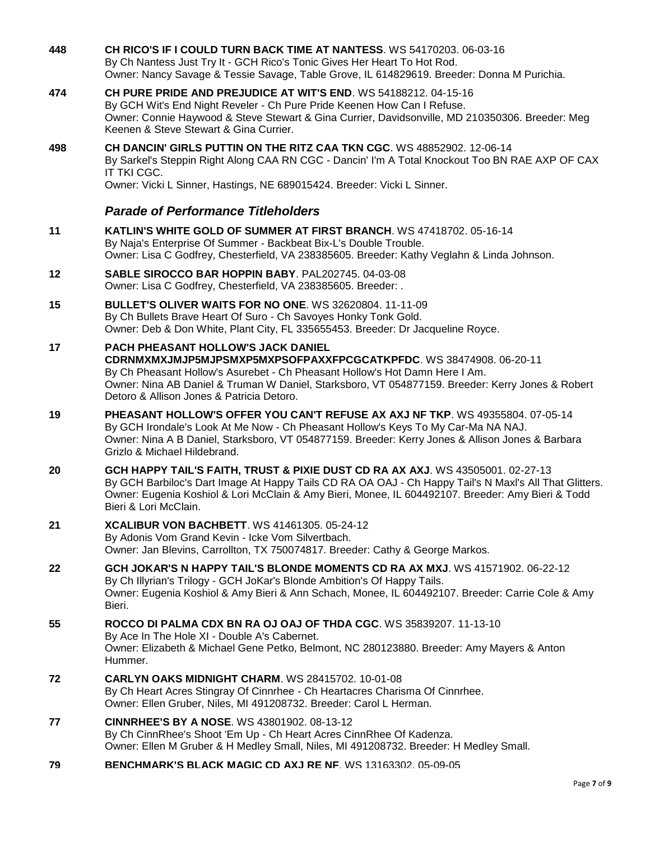**448 [CH RICO'S IF I COULD TURN BACK TIME AT NANTESS](http://infodog.com/my/drlookup2.htm?makc=WS%2054170203&mdog=Ch+Rico%27s+If+I+Could+Turn+Back+Time+At+Nantess&wins=all)**. WS 54170203. 06-03-16 By Ch Nantess Just Try It - GCH Rico's Tonic Gives Her Heart To Hot Rod. Owner: Nancy Savage & Tessie Savage, Table Grove, IL 614829619. Breeder: Donna M Purichia. **474 [CH PURE PRIDE AND PREJUDICE AT WIT'S END](http://infodog.com/my/drlookup2.htm?makc=WS%2054188212&mdog=Ch+Pure+Pride+And+Prejudice+At+Wit%27s+End&wins=all)**. WS 54188212. 04-15-16 By GCH Wit's End Night Reveler - Ch Pure Pride Keenen How Can I Refuse. Owner: Connie Haywood & Steve Stewart & Gina Currier, Davidsonville, MD 210350306. Breeder: Meg Keenen & Steve Stewart & Gina Currier. **498 [CH DANCIN' GIRLS PUTTIN ON THE RITZ CAA TKN CGC](http://infodog.com/my/drlookup2.htm?makc=WS%2048852902&mdog=Ch+Dancin%27+Girls+Puttin+On+The+Ritz+CAA+TKN+CGC&wins=all)**. WS 48852902. 12-06-14 By Sarkel's Steppin Right Along CAA RN CGC - Dancin' I'm A Total Knockout Too BN RAE AXP OF CAX IT TKI CGC. Owner: Vicki L Sinner, Hastings, NE 689015424. Breeder: Vicki L Sinner. *Parade of Performance Titleholders* **11 [KATLIN'S WHITE GOLD OF SUMMER AT FIRST](http://infodog.com/my/drlookup2.htm?makc=WS%2047418702&mdog=Katlin%27s+White+Gold+Of+Summer+At+First+Branch&wins=all) BRANCH**. WS 47418702. 05-16-14 By Naja's Enterprise Of Summer - Backbeat Bix-L's Double Trouble. Owner: Lisa C Godfrey, Chesterfield, VA 238385605. Breeder: Kathy Veglahn & Linda Johnson. **12 [SABLE SIROCCO BAR HOPPIN BABY](http://infodog.com/my/drlookup2.htm?makc=PAL202745&mdog=Sable+Sirocco+Bar+Hoppin+Baby&wins=all)**. PAL202745. 04-03-08 Owner: Lisa C Godfrey, Chesterfield, VA 238385605. Breeder: . **15 [BULLET'S OLIVER WAITS FOR NO ONE](http://infodog.com/my/drlookup2.htm?makc=WS%2032620804&mdog=Bullet%27s+Oliver+Waits+For+No+One&wins=all)**. WS 32620804. 11-11-09 By Ch Bullets Brave Heart Of Suro - Ch Savoyes Honky Tonk Gold. Owner: Deb & Don White, Plant City, FL 335655453. Breeder: Dr Jacqueline Royce. **17 [PACH PHEASANT HOLLOW'S JACK DANIEL](http://infodog.com/my/drlookup2.htm?makc=WS%2038474908&mdog=PACH+Pheasant+Hollow%27s+Jack+Daniel+CDRNMXMXJMJP5MJPSMXP5MXPSOFPAXXFPCGCATKPFDC&wins=all)  [CDRNMXMXJMJP5MJPSMXP5MXPSOFPAXXFPCGCATKPFDC](http://infodog.com/my/drlookup2.htm?makc=WS%2038474908&mdog=PACH+Pheasant+Hollow%27s+Jack+Daniel+CDRNMXMXJMJP5MJPSMXP5MXPSOFPAXXFPCGCATKPFDC&wins=all)**. WS 38474908. 06-20-11 By Ch Pheasant Hollow's Asurebet - Ch Pheasant Hollow's Hot Damn Here I Am. Owner: Nina AB Daniel & Truman W Daniel, Starksboro, VT 054877159. Breeder: Kerry Jones & Robert Detoro & Allison Jones & Patricia Detoro. **19 [PHEASANT HOLLOW'S OFFER YOU CAN'T REFUSE AX AXJ NF TKP](http://infodog.com/my/drlookup2.htm?makc=WS%2049355804&mdog=Pheasant+Hollow%27s+Offer+You+Can%27t+Refuse+AX+AXJ+NF+TKP&wins=all)**. WS 49355804. 07-05-14 By GCH Irondale's Look At Me Now - Ch Pheasant Hollow's Keys To My Car-Ma NA NAJ. Owner: Nina A B Daniel, Starksboro, VT 054877159. Breeder: Kerry Jones & Allison Jones & Barbara Grizlo & Michael Hildebrand. **20 [GCH HAPPY TAIL'S FAITH, TRUST & PIXIE DUST CD RA AX AXJ](http://infodog.com/my/drlookup2.htm?makc=WS%2043505001&mdog=GCH+Happy+Tail%27s+Faith,+Trust+&+Pixie+Dust+CD+RA+AX+AXJ&wins=all)**. WS 43505001. 02-27-13 By GCH Barbiloc's Dart Image At Happy Tails CD RA OA OAJ - Ch Happy Tail's N Maxl's All That Glitters. Owner: Eugenia Koshiol & Lori McClain & Amy Bieri, Monee, IL 604492107. Breeder: Amy Bieri & Todd Bieri & Lori McClain. **21 [XCALIBUR VON BACHBETT](http://infodog.com/my/drlookup2.htm?makc=WS%2041461305&mdog=Xcalibur+Von+Bachbett&wins=all)**. WS 41461305. 05-24-12 By Adonis Vom Grand Kevin - Icke Vom Silvertbach. Owner: Jan Blevins, Carrollton, TX 750074817. Breeder: Cathy & George Markos. **22 [GCH JOKAR'S N HAPPY TAIL'S BLONDE MOMENTS CD RA AX MXJ](http://infodog.com/my/drlookup2.htm?makc=WS%2041571902&mdog=GCH+JoKar%27s+N+Happy+Tail%27s+Blonde+Moments+CD+RA+AX+MXJ&wins=all)**. WS 41571902. 06-22-12 By Ch Illyrian's Trilogy - GCH JoKar's Blonde Ambition's Of Happy Tails. Owner: Eugenia Koshiol & Amy Bieri & Ann Schach, Monee, IL 604492107. Breeder: Carrie Cole & Amy Bieri. **55 [ROCCO DI PALMA CDX BN RA OJ OAJ OF THDA CGC](http://infodog.com/my/drlookup2.htm?makc=WS%2035839207&mdog=Rocco+Di+Palma+CDX+BN+RA+OJ+OAJ+OF+THDA+CGC&wins=all)**. WS 35839207. 11-13-10 By Ace In The Hole XI - Double A's Cabernet. Owner: Elizabeth & Michael Gene Petko, Belmont, NC 280123880. Breeder: Amy Mayers & Anton Hummer. **72 [CARLYN OAKS MIDNIGHT CHARM](http://infodog.com/my/drlookup2.htm?makc=WS%2028415702&mdog=Carlyn+Oaks+Midnight+Charm&wins=all)**. WS 28415702. 10-01-08 By Ch Heart Acres Stingray Of Cinnrhee - Ch Heartacres Charisma Of Cinnrhee. Owner: Ellen Gruber, Niles, MI 491208732. Breeder: Carol L Herman. **77 [CINNRHEE'S BY A NOSE](http://infodog.com/my/drlookup2.htm?makc=WS%2043801902&mdog=CinnRhee%27s+By+A+Nose&wins=all)**. WS 43801902. 08-13-12 By Ch CinnRhee's Shoot 'Em Up - Ch Heart Acres CinnRhee Of Kadenza. Owner: Ellen M Gruber & H Medley Small, Niles, MI 491208732. Breeder: H Medley Small. **79 [BENCHMARK'S BLACK MAGIC CD AXJ RE NF](http://infodog.com/my/drlookup2.htm?makc=WS%2013163302&mdog=Benchmark%27s+Black+Magic+CD+AXJ+RE+NF&wins=all)**. WS 13163302. 05-09-05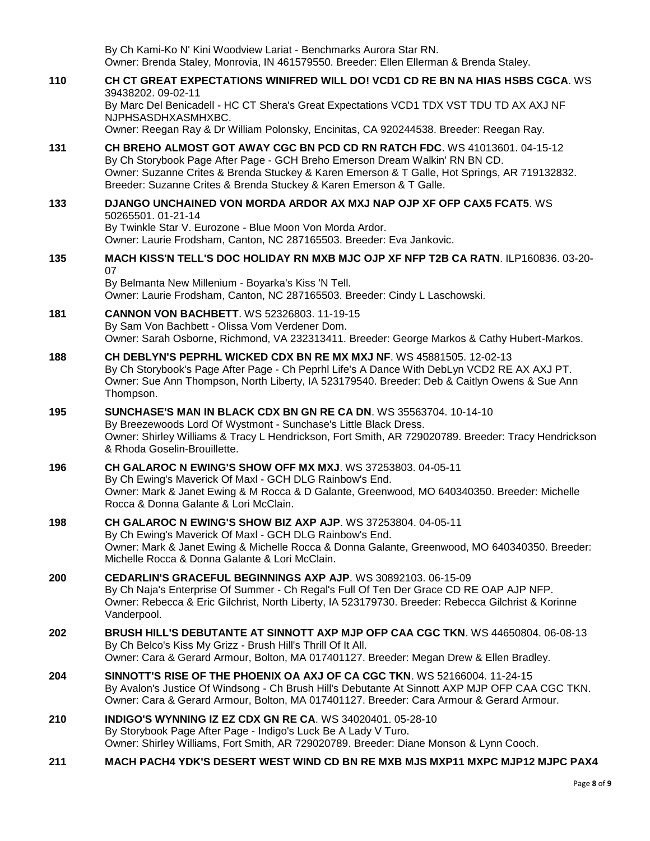By Ch Kami-Ko N' Kini Woodview Lariat - Benchmarks Aurora Star RN. Owner: Brenda Staley, Monrovia, IN 461579550. Breeder: Ellen Ellerman & Brenda Staley.

### **110 [CH CT GREAT EXPECTATIONS WINIFRED WILL DO! VCD1 CD RE BN NA HIAS HSBS CGCA](http://infodog.com/my/drlookup2.htm?makc=WS%2039438202&mdog=Ch+CT+Great+Expectations+Winifred+Will+Do!+VCD1+CD+RE+BN+NA+HIAS+HSBS+CGCA&wins=all)**. WS 39438202. 09-02-11

By Marc Del Benicadell - HC CT Shera's Great Expectations VCD1 TDX VST TDU TD AX AXJ NF NJPHSASDHXASMHXBC.

Owner: Reegan Ray & Dr William Polonsky, Encinitas, CA 920244538. Breeder: Reegan Ray.

**131 [CH BREHO ALMOST GOT AWAY CGC BN PCD CD RN RATCH FDC](http://infodog.com/my/drlookup2.htm?makc=WS%2041013601&mdog=Ch+Breho+Almost+Got+Away+CGC+BN+PCD+CD+RN+RATCH+FDC&wins=all)**. WS 41013601. 04-15-12 By Ch Storybook Page After Page - GCH Breho Emerson Dream Walkin' RN BN CD. Owner: Suzanne Crites & Brenda Stuckey & Karen Emerson & T Galle, Hot Springs, AR 719132832. Breeder: Suzanne Crites & Brenda Stuckey & Karen Emerson & T Galle.

#### **133 [DJANGO UNCHAINED VON MORDA ARDOR AX MXJ NAP OJP XF OFP CAX5 FCAT5](http://infodog.com/my/drlookup2.htm?makc=WS%2050265501&mdog=Django+Unchained+Von+Morda+Ardor+AX+MXJ+NAP+OJP+XF+OFP+CAX5+FCAT5&wins=all)**. WS 50265501. 01-21-14

By Twinkle Star V. Eurozone - Blue Moon Von Morda Ardor. Owner: Laurie Frodsham, Canton, NC 287165503. Breeder: Eva Jankovic.

#### **135 [MACH KISS'N TELL'S DOC HOLIDAY RN MXB MJC](http://infodog.com/my/drlookup2.htm?makc=ILP160836&mdog=MACH+Kiss%27N+Tell%27s+Doc+Holiday+RN+MXB+MJC+OJP+XF+NFP+T2B+CA+RATN&wins=all) OJP XF NFP T2B CA RATN**. ILP160836. 03-20- 07

By Belmanta New Millenium - Boyarka's Kiss 'N Tell. Owner: Laurie Frodsham, Canton, NC 287165503. Breeder: Cindy L Laschowski.

- **181 [CANNON VON BACHBETT](http://infodog.com/my/drlookup2.htm?makc=WS%2052326803&mdog=Cannon+Von+Bachbett&wins=all)**. WS 52326803. 11-19-15 By Sam Von Bachbett - Olissa Vom Verdener Dom. Owner: Sarah Osborne, Richmond, VA 232313411. Breeder: George Markos & Cathy Hubert-Markos.
- **188 [CH DEBLYN'S PEPRHL WICKED CDX BN RE MX MXJ NF](http://infodog.com/my/drlookup2.htm?makc=WS%2045881505&mdog=Ch+DebLyn%27s+Peprhl+Wicked+CDX+BN+RE+MX+MXJ+NF&wins=all)**. WS 45881505. 12-02-13 By Ch Storybook's Page After Page - Ch Peprhl Life's A Dance With DebLyn VCD2 RE AX AXJ PT. Owner: Sue Ann Thompson, North Liberty, IA 523179540. Breeder: Deb & Caitlyn Owens & Sue Ann Thompson.

#### **195 [SUNCHASE'S MAN IN BLACK CDX BN GN RE CA DN](http://infodog.com/my/drlookup2.htm?makc=WS%2035563704&mdog=Sunchase%27s+Man+In+Black+CDX+BN+GN+RE+CA+DN&wins=all)**. WS 35563704. 10-14-10 By Breezewoods Lord Of Wystmont - Sunchase's Little Black Dress. Owner: Shirley Williams & Tracy L Hendrickson, Fort Smith, AR 729020789. Breeder: Tracy Hendrickson & Rhoda Goselin-Brouillette.

### **196 [CH GALAROC N EWING'S SHOW OFF MX MXJ](http://infodog.com/my/drlookup2.htm?makc=WS%2037253803&mdog=Ch+Galaroc+N+Ewing%27s+Show+Off+MX+MXJ&wins=all)**. WS 37253803. 04-05-11 By Ch Ewing's Maverick Of Maxl - GCH DLG Rainbow's End. Owner: Mark & Janet Ewing & M Rocca & D Galante, Greenwood, MO 640340350. Breeder: Michelle Rocca & Donna Galante & Lori McClain.

- **198 [CH GALAROC N EWING'S SHOW BIZ AXP AJP](http://infodog.com/my/drlookup2.htm?makc=WS%2037253804&mdog=Ch+Galaroc+N+Ewing%27s+Show+Biz+AXP+AJP&wins=all)**. WS 37253804. 04-05-11 By Ch Ewing's Maverick Of Maxl - GCH DLG Rainbow's End. Owner: Mark & Janet Ewing & Michelle Rocca & Donna Galante, Greenwood, MO 640340350. Breeder: Michelle Rocca & Donna Galante & Lori McClain.
- **200 [CEDARLIN'S GRACEFUL BEGINNINGS AXP AJP](http://infodog.com/my/drlookup2.htm?makc=WS%2030892103&mdog=Cedarlin%27s+Graceful+Beginnings+AXP+AJP&wins=all)**. WS 30892103. 06-15-09 By Ch Naja's Enterprise Of Summer - Ch Regal's Full Of Ten Der Grace CD RE OAP AJP NFP. Owner: Rebecca & Eric Gilchrist, North Liberty, IA 523179730. Breeder: Rebecca Gilchrist & Korinne Vanderpool.
- **202 [BRUSH HILL'S DEBUTANTE AT SINNOTT AXP MJP OFP CAA CGC TKN](http://infodog.com/my/drlookup2.htm?makc=WS%2044650804&mdog=Brush+Hill%27s+Debutante+At+Sinnott+AXP+MJP+OFP+CAA+CGC+TKN&wins=all)**. WS 44650804. 06-08-13 By Ch Belco's Kiss My Grizz - Brush Hill's Thrill Of It All. Owner: Cara & Gerard Armour, Bolton, MA 017401127. Breeder: Megan Drew & Ellen Bradley.
- **204 [SINNOTT'S RISE OF THE PHOENIX OA AXJ OF CA CGC TKN](http://infodog.com/my/drlookup2.htm?makc=WS%2052166004&mdog=Sinnott%27s+Rise+Of+The+Phoenix+OA+AXJ+OF+CA+CGC+TKN&wins=all)**. WS 52166004. 11-24-15 By Avalon's Justice Of Windsong - Ch Brush Hill's Debutante At Sinnott AXP MJP OFP CAA CGC TKN. Owner: Cara & Gerard Armour, Bolton, MA 017401127. Breeder: Cara Armour & Gerard Armour.
- **210 [INDIGO'S WYNNING IZ EZ CDX GN RE CA](http://infodog.com/my/drlookup2.htm?makc=WS%2034020401&mdog=Indigo%27s+Wynning+Iz+Ez+CDX+GN+RE+CA&wins=all)**. WS 34020401. 05-28-10 By Storybook Page After Page - Indigo's Luck Be A Lady V Turo. Owner: Shirley Williams, Fort Smith, AR 729020789. Breeder: Diane Monson & Lynn Cooch.
- **211 [MACH PACH4 YDK'S DESERT WEST WIND CD BN RE MXB MJS MXP11 MXPC MJP12 MJPC PAX4](http://infodog.com/my/drlookup2.htm?makc=WS%2017961701&mdog=MACH+PACH4+YDK%27s+Desert+West+Wind+CD+BN+RE+MXB+MJS+MXP11+MXPC+MJP12+MJPC+PAX4+XF&wins=all)**